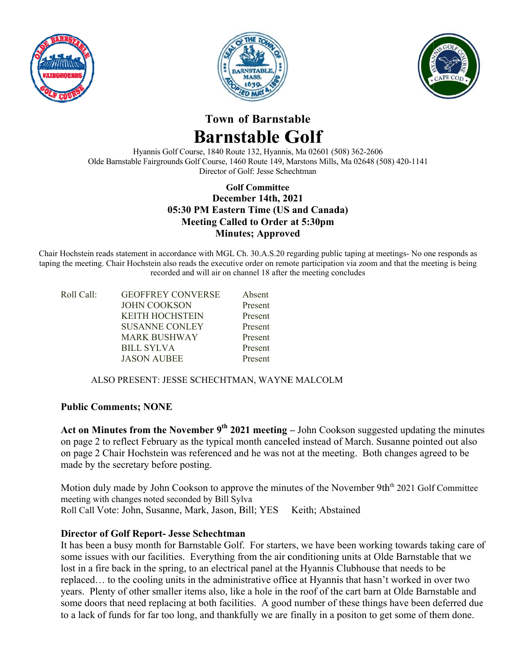





# Town of Barnstable **Barns table G Golf**

Olde Barnstable Fairgrounds Golf Course, 1460 Route 149, Marstons Mills, Ma 02648 (508) 420-1141 Hyannis Golf Course, 1840 Route 132, Hyannis, Ma 02601 (508) 362-2606 Director of Golf: Jesse Schechtman

## 05:30 PM Eastern Time (US and Canada) **Meeting Called to Order at 5:30pm Golf f Committee Committee December 14th, 2021 Minutes; Approved**

Chair Hochstein reads statement in accordance with MGL Ch. 30.A.S.20 regarding public taping at meetings- No one responds as taping the meeting. Chair Hochstein also reads the executive order on remote participation via zoom and that the meeting is being recorded and will air on channel 18 after the meeting concludes

| Roll Call: | <b>GEOFFREY CONVERSE</b>                      | Absent  |
|------------|-----------------------------------------------|---------|
|            | <b>JOHN COOKSON</b>                           | Present |
|            | <b>KEITH HOCHSTEIN</b>                        | Present |
|            | <b>SUSANNE CONLEY</b>                         | Present |
|            | <b>MARK BUSHWAY</b>                           | Present |
|            | <b>BILL SYLVA</b>                             | Present |
|            | <b>JASON AUBEE</b>                            | Present |
|            |                                               |         |
|            | ALSO PRESENT: JESSE SCHECHTMAN, WAYNE MALCOLM |         |

## **Public C Comments; N NONE**

ALSO PRESENT: JESSE SCHECHTMAN, WAYNE MALCOLM<br> **Public Comments; NONE**<br> **Act on Minutes from the November 9<sup>th</sup> 2021 meeting** – John Cookson suggested updating the minutes on page 2 to reflect February as the typical month canceled instead of March. Susanne pointed out also on page 2 Chair Hochstein was referenced and he was not at the meeting. Both changes agreed to be made by the secretary before posting.

Motion duly made by John Cookson to approve the minutes of the November 9th<sup>th</sup> 2021 Golf Committee meeting with changes noted seconded by Bill Sylva Roll Call Vote: John, Susanne, Mark, Jason, Bill; YES Keith; Abstained

## **Director of Golf Report- Jesse Schechtman**

It has been a busy month for Barnstable Golf. For starters, we have been working towards taking care of some issues with our facilities. Everything from the air conditioning units at Olde Barnstable that we lost in a fire back in the spring, to an electrical panel at the Hyannis Clubhouse that needs to be replaced... to the cooling units in the administrative office at Hyannis that hasn't worked in over two years. Plenty of other smaller items also, like a hole in the roof of the cart barn at Olde Barnstable and some doors that need replacing at both facilities. A good number of these things have been deferred due to a lack of funds for far too long, and thankfully we are finally in a positon to get some of them done.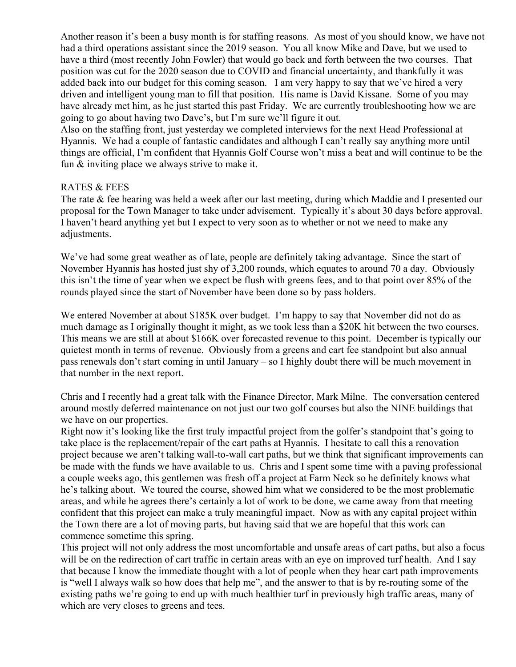Another reason it's been a busy month is for staffing reasons. As most of you should know, we have not had a third operations assistant since the 2019 season. You all know Mike and Dave, but we used to have a third (most recently John Fowler) that would go back and forth between the two courses. That position was cut for the 2020 season due to COVID and financial uncertainty, and thankfully it was added back into our budget for this coming season. I am very happy to say that we've hired a very driven and intelligent young man to fill that position. His name is David Kissane. Some of you may have already met him, as he just started this past Friday. We are currently troubleshooting how we are going to go about having two Dave's, but I'm sure we'll figure it out.

Also on the staffing front, just yesterday we completed interviews for the next Head Professional at Hyannis. We had a couple of fantastic candidates and although I can't really say anything more until things are official, I'm confident that Hyannis Golf Course won't miss a beat and will continue to be the fun & inviting place we always strive to make it.

#### RATES & FEES

The rate & fee hearing was held a week after our last meeting, during which Maddie and I presented our proposal for the Town Manager to take under advisement. Typically it's about 30 days before approval. I haven't heard anything yet but I expect to very soon as to whether or not we need to make any adjustments.

We've had some great weather as of late, people are definitely taking advantage. Since the start of November Hyannis has hosted just shy of 3,200 rounds, which equates to around 70 a day. Obviously this isn't the time of year when we expect be flush with greens fees, and to that point over 85% of the rounds played since the start of November have been done so by pass holders.

We entered November at about \$185K over budget. I'm happy to say that November did not do as much damage as I originally thought it might, as we took less than a \$20K hit between the two courses. This means we are still at about \$166K over forecasted revenue to this point. December is typically our quietest month in terms of revenue. Obviously from a greens and cart fee standpoint but also annual pass renewals don't start coming in until January – so I highly doubt there will be much movement in that number in the next report.

Chris and I recently had a great talk with the Finance Director, Mark Milne. The conversation centered around mostly deferred maintenance on not just our two golf courses but also the NINE buildings that we have on our properties.

Right now it's looking like the first truly impactful project from the golfer's standpoint that's going to take place is the replacement/repair of the cart paths at Hyannis. I hesitate to call this a renovation project because we aren't talking wall-to-wall cart paths, but we think that significant improvements can be made with the funds we have available to us. Chris and I spent some time with a paving professional a couple weeks ago, this gentlemen was fresh off a project at Farm Neck so he definitely knows what he's talking about. We toured the course, showed him what we considered to be the most problematic areas, and while he agrees there's certainly a lot of work to be done, we came away from that meeting confident that this project can make a truly meaningful impact. Now as with any capital project within the Town there are a lot of moving parts, but having said that we are hopeful that this work can commence sometime this spring.

This project will not only address the most uncomfortable and unsafe areas of cart paths, but also a focus will be on the redirection of cart traffic in certain areas with an eye on improved turf health. And I say that because I know the immediate thought with a lot of people when they hear cart path improvements is "well I always walk so how does that help me", and the answer to that is by re-routing some of the existing paths we're going to end up with much healthier turf in previously high traffic areas, many of which are very closes to greens and tees.